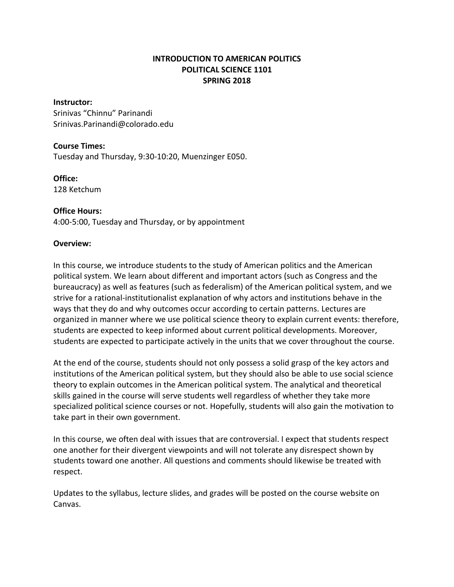# **INTRODUCTION TO AMERICAN POLITICS POLITICAL SCIENCE 1101 SPRING 2018**

### **Instructor:**

Srinivas "Chinnu" Parinandi Srinivas.Parinandi@colorado.edu

### **Course Times:**

Tuesday and Thursday, 9:30-10:20, Muenzinger E050.

#### **Office:**

128 Ketchum

### **Office Hours:**

4:00-5:00, Tuesday and Thursday, or by appointment

#### **Overview:**

In this course, we introduce students to the study of American politics and the American political system. We learn about different and important actors (such as Congress and the bureaucracy) as well as features (such as federalism) of the American political system, and we strive for a rational-institutionalist explanation of why actors and institutions behave in the ways that they do and why outcomes occur according to certain patterns. Lectures are organized in manner where we use political science theory to explain current events: therefore, students are expected to keep informed about current political developments. Moreover, students are expected to participate actively in the units that we cover throughout the course.

At the end of the course, students should not only possess a solid grasp of the key actors and institutions of the American political system, but they should also be able to use social science theory to explain outcomes in the American political system. The analytical and theoretical skills gained in the course will serve students well regardless of whether they take more specialized political science courses or not. Hopefully, students will also gain the motivation to take part in their own government.

In this course, we often deal with issues that are controversial. I expect that students respect one another for their divergent viewpoints and will not tolerate any disrespect shown by students toward one another. All questions and comments should likewise be treated with respect.

Updates to the syllabus, lecture slides, and grades will be posted on the course website on Canvas.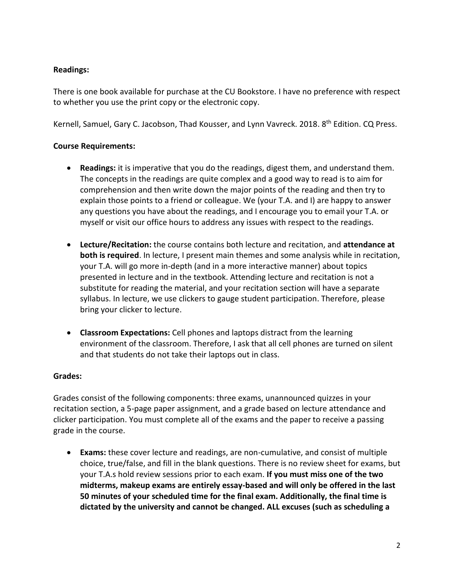# **Readings:**

There is one book available for purchase at the CU Bookstore. I have no preference with respect to whether you use the print copy or the electronic copy.

Kernell, Samuel, Gary C. Jacobson, Thad Kousser, and Lynn Vavreck. 2018. 8<sup>th</sup> Edition. CQ Press.

# **Course Requirements:**

- **Readings:** it is imperative that you do the readings, digest them, and understand them. The concepts in the readings are quite complex and a good way to read is to aim for comprehension and then write down the major points of the reading and then try to explain those points to a friend or colleague. We (your T.A. and I) are happy to answer any questions you have about the readings, and I encourage you to email your T.A. or myself or visit our office hours to address any issues with respect to the readings.
- **Lecture/Recitation:** the course contains both lecture and recitation, and **attendance at both is required**. In lecture, I present main themes and some analysis while in recitation, your T.A. will go more in-depth (and in a more interactive manner) about topics presented in lecture and in the textbook. Attending lecture and recitation is not a substitute for reading the material, and your recitation section will have a separate syllabus. In lecture, we use clickers to gauge student participation. Therefore, please bring your clicker to lecture.
- **Classroom Expectations:** Cell phones and laptops distract from the learning environment of the classroom. Therefore, I ask that all cell phones are turned on silent and that students do not take their laptops out in class.

### **Grades:**

Grades consist of the following components: three exams, unannounced quizzes in your recitation section, a 5-page paper assignment, and a grade based on lecture attendance and clicker participation. You must complete all of the exams and the paper to receive a passing grade in the course.

 **Exams:** these cover lecture and readings, are non-cumulative, and consist of multiple choice, true/false, and fill in the blank questions. There is no review sheet for exams, but your T.A.s hold review sessions prior to each exam. **If you must miss one of the two midterms, makeup exams are entirely essay-based and will only be offered in the last 50 minutes of your scheduled time for the final exam. Additionally, the final time is dictated by the university and cannot be changed. ALL excuses (such as scheduling a**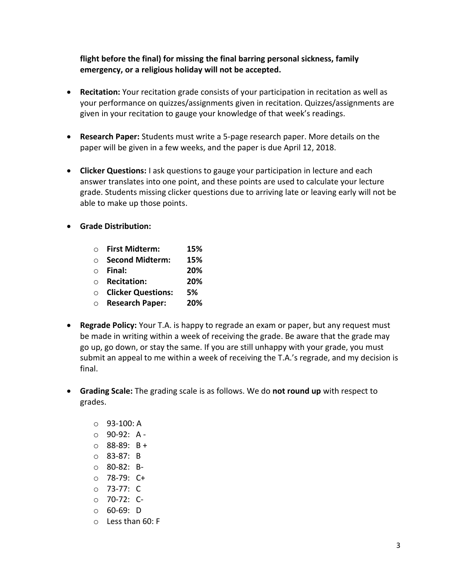**flight before the final) for missing the final barring personal sickness, family emergency, or a religious holiday will not be accepted.**

- **Recitation:** Your recitation grade consists of your participation in recitation as well as your performance on quizzes/assignments given in recitation. Quizzes/assignments are given in your recitation to gauge your knowledge of that week's readings.
- **Research Paper:** Students must write a 5-page research paper. More details on the paper will be given in a few weeks, and the paper is due April 12, 2018.
- **Clicker Questions:** I ask questions to gauge your participation in lecture and each answer translates into one point, and these points are used to calculate your lecture grade. Students missing clicker questions due to arriving late or leaving early will not be able to make up those points.
- **Grade Distribution:**

| $\bigcap$ | <b>First Midterm:</b>     | 15% |
|-----------|---------------------------|-----|
|           | <b>Second Midterm:</b>    | 15% |
| $\bigcap$ | Final:                    | 20% |
| $\bigcap$ | <b>Recitation:</b>        | 20% |
| $\bigcap$ | <b>Clicker Questions:</b> | 5%  |
| $\circ$   | <b>Research Paper:</b>    | 20% |

- **Regrade Policy:** Your T.A. is happy to regrade an exam or paper, but any request must be made in writing within a week of receiving the grade. Be aware that the grade may go up, go down, or stay the same. If you are still unhappy with your grade, you must submit an appeal to me within a week of receiving the T.A.'s regrade, and my decision is final.
- **Grading Scale:** The grading scale is as follows. We do **not round up** with respect to grades.
	- o 93-100: A o 90-92: A -  $\circ$  88-89: B + o 83-87: B o 80-82: Bo 78-79: C+ o 73-77: C
	- o 70-72: C-
	- o 60-69: D
	- o Less than 60: F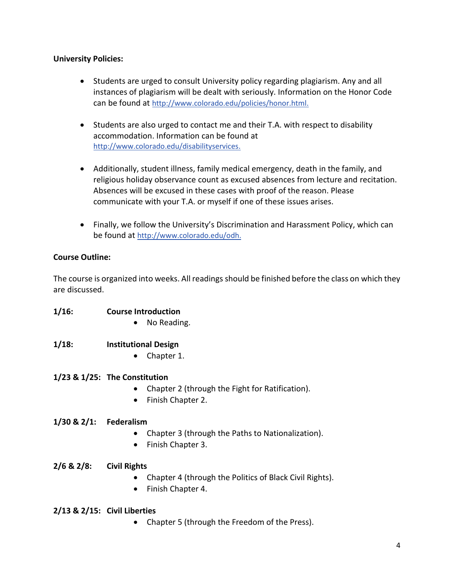### **University Policies:**

- Students are urged to consult University policy regarding plagiarism. Any and all instances of plagiarism will be dealt with seriously. Information on the Honor Code can be found at [http://www.colorado.edu/policies/honor.html.](http://www.colorado.edu/policies/honor.html)
- Students are also urged to contact me and their T.A. with respect to disability accommodation. Information can be found at [http://www.colorado.edu/disabilityservices.](http://www.colorado.edu/disabilityservices)
- Additionally, student illness, family medical emergency, death in the family, and religious holiday observance count as excused absences from lecture and recitation. Absences will be excused in these cases with proof of the reason. Please communicate with your T.A. or myself if one of these issues arises.
- Finally, we follow the University's Discrimination and Harassment Policy, which can be found at [http://www.colorado.edu/odh.](http://www.colorado.edu/odh)

# **Course Outline:**

**1/16: Course Introduction**

The course is organized into weeks. All readings should be finished before the class on which they are discussed.

|                        | No Reading.                                                                                                             |
|------------------------|-------------------------------------------------------------------------------------------------------------------------|
| $1/18$ :               | <b>Institutional Design</b><br>Chapter 1.                                                                               |
|                        | $1/23$ & $1/25$ : The Constitution<br>Chapter 2 (through the Fight for Ratification).<br>Finish Chapter 2.<br>$\bullet$ |
| 1/30 & 2/1: Federalism | Chapter 3 (through the Paths to Nationalization).<br>Finish Chapter 3.                                                  |
| $2/6$ & $2/8$ :        | <b>Civil Rights</b><br>Chapter 4 (through the Politics of Black Civil Rights).<br>Finish Chapter 4.<br>$\bullet$        |
|                        | $2/13$ & $2/15$ : Civil Liberties                                                                                       |

Chapter 5 (through the Freedom of the Press).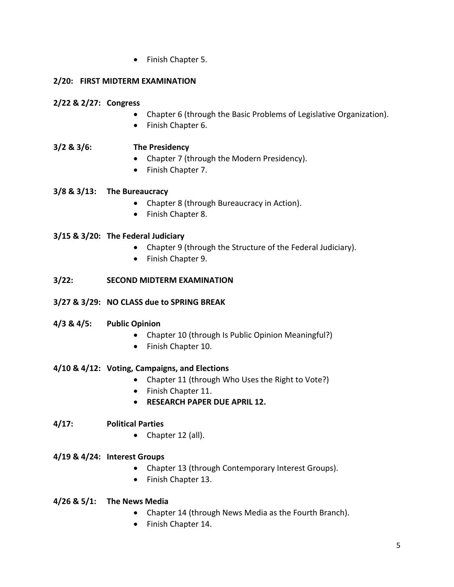• Finish Chapter 5.

# **2/20: FIRST MIDTERM EXAMINATION**

# **2/22 & 2/27: Congress**

- Chapter 6 (through the Basic Problems of Legislative Organization).
- Finish Chapter 6.

# **3/2 & 3/6: The Presidency**

- Chapter 7 (through the Modern Presidency).
- Finish Chapter 7.

# **3/8 & 3/13: The Bureaucracy**

- Chapter 8 (through Bureaucracy in Action).
- Finish Chapter 8.

# **3/15 & 3/20: The Federal Judiciary**

- Chapter 9 (through the Structure of the Federal Judiciary).
- Finish Chapter 9.

# **3/22: SECOND MIDTERM EXAMINATION**

# **3/27 & 3/29: NO CLASS due to SPRING BREAK**

# **4/3 & 4/5: Public Opinion**

- Chapter 10 (through Is Public Opinion Meaningful?)
- Finish Chapter 10.

# **4/10 & 4/12: Voting, Campaigns, and Elections**

- Chapter 11 (through Who Uses the Right to Vote?)
- Finish Chapter 11.
- **RESEARCH PAPER DUE APRIL 12.**

# **4/17: Political Parties**

• Chapter 12 (all).

# **4/19 & 4/24: Interest Groups**

- Chapter 13 (through Contemporary Interest Groups).
- Finish Chapter 13.

# **4/26 & 5/1: The News Media**

- Chapter 14 (through News Media as the Fourth Branch).
- Finish Chapter 14.